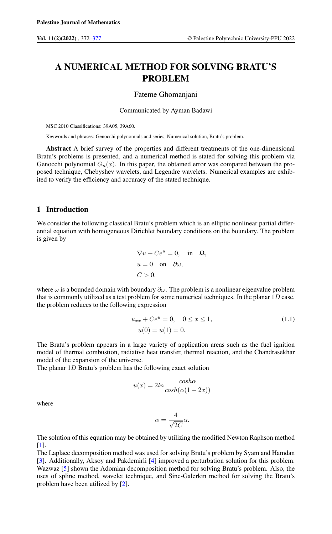# A NUMERICAL METHOD FOR SOLVING BRATU'S PROBLEM

#### Fateme Ghomanjani

Communicated by Ayman Badawi

MSC 2010 Classifications: 39A05, 39A60.

Keywords and phrases: Genocchi polynomials and series, Numerical solution, Bratu's problem.

Abstract A brief survey of the properties and different treatments of the one-dimensional Bratu's problems is presented, and a numerical method is stated for solving this problem via Genocchi polynomial  $G_n(x)$ . In this paper, the obtained error was compared between the proposed technique, Chebyshev wavelets, and Legendre wavelets. Numerical examples are exhibited to verify the efficiency and accuracy of the stated technique.

## 1 Introduction

We consider the following classical Bratu's problem which is an elliptic nonlinear partial differential equation with homogeneous Dirichlet boundary conditions on the boundary. The problem is given by

$$
\nabla u + Ce^u = 0, \text{ in } \Omega,
$$
  
 
$$
u = 0 \text{ on } \partial \omega,
$$
  
 
$$
C > 0,
$$

where  $\omega$  is a bounded domain with boundary  $\partial \omega$ . The problem is a nonlinear eigenvalue problem that is commonly utilized as a test problem for some numerical techniques. In the planar  $1D$  case, the problem reduces to the following expression

<span id="page-0-0"></span>
$$
u_{xx} + Ce^u = 0, \quad 0 \le x \le 1,
$$
  
\n
$$
u(0) = u(1) = 0.
$$
\n(1.1)

The Bratu's problem appears in a large variety of application areas such as the fuel ignition model of thermal combustion, radiative heat transfer, thermal reaction, and the Chandrasekhar model of the expansion of the universe.

The planar 1D Bratu's problem has the following exact solution

$$
u(x) = 2ln \frac{\cosh \alpha}{\cosh(\alpha(1-2x))}
$$

where

$$
\alpha = \frac{4}{\sqrt{2C}}\alpha.
$$

The solution of this equation may be obtained by utilizing the modified Newton Raphson method [\[1\]](#page-4-1).

The Laplace decomposition method was used for solving Bratu's problem by Syam and Hamdan [\[3\]](#page-4-2). Additionally, Aksoy and Pakdemirli [\[4\]](#page-4-3) improved a perturbation solution for this problem. Wazwaz [\[5\]](#page-4-4) shown the Adomian decomposition method for solving Bratu's problem. Also, the uses of spline method, wavelet technique, and Sinc-Galerkin method for solving the Bratu's problem have been utilized by [\[2\]](#page-4-5).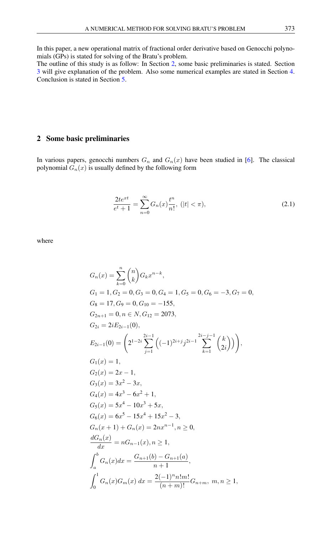In this paper, a new operational matrix of fractional order derivative based on Genocchi polynomials (GPs) is stated for solving of the Bratu's problem.

The outline of this study is as follow: In Section [2,](#page-1-0) some basic preliminaries is stated. Section [3](#page-2-0) will give explanation of the problem. Also some numerical examples are stated in Section [4.](#page-3-0) Conclusion is stated in Section [5.](#page-4-6)

## <span id="page-1-0"></span>2 Some basic preliminaries

In various papers, genocchi numbers  $G_n$  and  $G_n(x)$  have been studied in [\[6\]](#page-5-0). The classical polynomial  $G_n(x)$  is usually defined by the following form

$$
\frac{2te^{xt}}{e^t+1} = \sum_{n=0}^{\infty} G_n(x) \frac{t^n}{n!}, \ (|t| < \pi), \tag{2.1}
$$

where

$$
G_n(x) = \sum_{k=0}^{n} {n \choose k} G_k x^{n-k},
$$
  
\n
$$
G_1 = 1, G_2 = 0, G_3 = 0, G_4 = 1, G_5 = 0, G_6 = -3, G_7 = 0,
$$
  
\n
$$
G_8 = 17, G_9 = 0, G_{10} = -155,
$$
  
\n
$$
G_{2n+1} = 0, n \in N, G_{12} = 2073,
$$
  
\n
$$
G_{2i} = 2iE_{2i-1}(0),
$$
  
\n
$$
E_{2i-1}(0) = \left(2^{1-2i} \sum_{j=1}^{2i-1} \left((-1)^{2i+j} j^{2i-1} \sum_{k=1}^{2i-j-1} {k \choose 2i} \right) \right),
$$
  
\n
$$
G_1(x) = 1,
$$
  
\n
$$
G_2(x) = 2x - 1,
$$
  
\n
$$
G_3(x) = 3x^2 - 3x,
$$
  
\n
$$
G_4(x) = 4x^3 - 6x^2 + 1,
$$
  
\n
$$
G_5(x) = 5x^4 - 10x^3 + 5x,
$$
  
\n
$$
G_6(x) = 6x^5 - 15x^4 + 15x^2 - 3,
$$
  
\n
$$
G_n(x + 1) + G_n(x) = 2nx^{n-1}, n \ge 0,
$$
  
\n
$$
\frac{dG_n(x)}{dx} = nG_{n-1}(x), n \ge 1,
$$
  
\n
$$
\int_a^b G_n(x) dx = \frac{G_{n+1}(b) - G_{n+1}(a)}{n+1},
$$
  
\n
$$
\int_0^1 G_n(x)G_m(x) dx = \frac{2(-1)^n n!m!}{(n+m)!}G_{n+m}, m, n \ge 1,
$$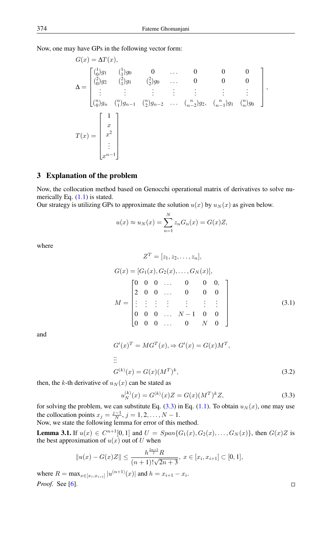Now, one may have GPs in the following vector form:

$$
G(x) = \Delta T(x),
$$
  
\n
$$
\Delta = \begin{bmatrix}\n\binom{1}{0}g_1 & \binom{1}{1}g_0 & 0 & \cdots & 0 & 0 & 0 \\
\binom{2}{0}g_2 & \binom{2}{1}g_1 & \binom{2}{2}g_0 & \cdots & 0 & 0 & 0 \\
\vdots & \vdots & \vdots & \vdots & \vdots & \vdots & \vdots \\
\binom{n}{0}g_n & \binom{n}{1}g_{n-1} & \binom{n}{2}g_{n-2} & \cdots & \binom{n}{n-2}g_2, & \binom{n}{n-1}g_1 & \binom{n}{n}g_0\n\end{bmatrix},
$$
  
\n
$$
T(x) = \begin{bmatrix}\n1 \\
x \\
x^2 \\
\vdots \\
x^{n-1}\n\end{bmatrix}
$$

## <span id="page-2-0"></span>3 Explanation of the problem

Now, the collocation method based on Genocchi operational matrix of derivatives to solve numerically Eq.  $(1.1)$  is stated.

Our strategy is utilizing GPs to approximate the solution  $u(x)$  by  $u<sub>N</sub>(x)$  as given below.

$$
u(x) \approx u_N(x) = \sum_{n=1}^N z_n G_n(x) = G(x)Z,
$$

where

$$
Z^{T} = [z_{1}, z_{2},..., z_{n}],
$$
  
\n
$$
G(x) = [G_{1}(x), G_{2}(x),..., G_{N}(x)],
$$
  
\n
$$
M = \begin{bmatrix} 0 & 0 & 0 & ... & 0 & 0 & 0 \\ 2 & 0 & 0 & ... & 0 & 0 & 0 \\ \vdots & \vdots & \vdots & \vdots & \vdots & \vdots & \vdots \\ 0 & 0 & 0 & ... & N-1 & 0 & 0 \\ 0 & 0 & 0 & ... & 0 & N & 0 \end{bmatrix}
$$
 (3.1)

and

$$
G'(x)^T = MG^T(x), \Rightarrow G'(x) = G(x)M^T,
$$
  
::  
":

$$
G^{(k)}(x) = G(x)(M^T)^k,
$$
\n(3.2)

then, the k-th derivative of  $u_N(x)$  can be stated as

<span id="page-2-1"></span>
$$
u_N^{(k)}(x) = G^{(k)}(x)Z = G(x)(M^T)^k Z,
$$
\n(3.3)

for solving the problem, we can substitute Eq. [\(3.3\)](#page-2-1) in Eq. [\(1.1\)](#page-0-0). To obtain  $u_N(x)$ , one may use the collocation points  $x_j = \frac{j-1}{N}, j = 1, 2, \dots, N-1.$ Now, we state the following lemma for error of this method.

**Lemma 3.1.** If  $u(x) \in C^{n+1}[0,1]$  and  $U = Span{G_1(x), G_2(x), \ldots, G_N(x)}$ , then  $G(x)Z$  is the best approximation of  $u(x)$  out of U when

$$
||u(x) - G(x)Z|| \leq \frac{h^{\frac{2n+3}{2}}R}{(n+1)!\sqrt{2n+3}}, x \in [x_i, x_{i+1}] \subset [0,1],
$$

where  $R = \max_{x \in [x_i, x_{i+1}]} |u^{(n+1)}(x)|$  and  $h = x_{i+1} - x_i$ . *Proof.* See [\[6\]](#page-5-0).

 $\Box$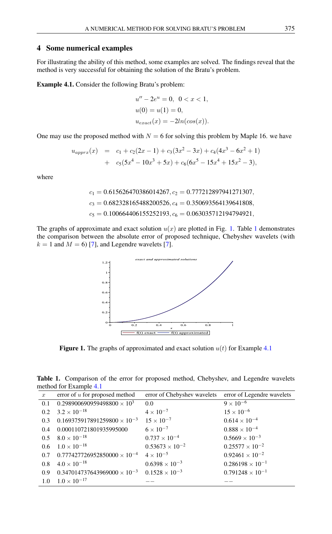### <span id="page-3-0"></span>4 Some numerical examples

For illustrating the ability of this method, some examples are solved. The findings reveal that the method is very successful for obtaining the solution of the Bratu's problem.

<span id="page-3-3"></span>Example 4.1. Consider the following Bratu's problem:

$$
u'' - 2eu = 0, \ 0 < x < 1,
$$
  
\n
$$
u(0) = u(1) = 0,
$$
  
\n
$$
u_{exact}(x) = -2\ln(\cos(x)).
$$

One may use the proposed method with  $N = 6$  for solving this problem by Maple 16. we have

$$
u_{approx}(x) = c_1 + c_2(2x - 1) + c_3(3x^2 - 3x) + c_4(4x^3 - 6x^2 + 1)
$$
  
+ 
$$
c_5(5x^4 - 10x^3 + 5x) + c_6(6x^5 - 15x^4 + 15x^2 - 3),
$$

where

$$
c_1 = 0.615626470386014267, c_2 = 0.777212897941271307,
$$
  

$$
c_3 = 0.682328165488200526, c_4 = 0.350693564139641808,
$$
  

$$
c_5 = 0.100664406155252193, c_6 = 0.063035712194794921,
$$

The graphs of approximate and exact solution  $u(x)$  are plotted in Fig. [1.](#page-3-1) Table [1](#page-3-2) demonstrates the comparison between the absolute error of proposed technique, Chebyshev wavelets (with  $k = 1$  and  $M = 6$  [\[7\]](#page-5-1), and Legendre wavelets [7].



<span id="page-3-2"></span><span id="page-3-1"></span>Figure 1. The graphs of approximated and exact solution  $u(t)$  for Example [4.1](#page-3-3)

Table 1. Comparison of the error for proposed method, Chebyshev, and Legendre wavelets method for Example [4.1](#page-3-3)

| $\boldsymbol{x}$ | error of $u$ for proposed method                  | error of Chebyshev wavelets error of Legendre wavelets |                           |
|------------------|---------------------------------------------------|--------------------------------------------------------|---------------------------|
|                  | 0.1 0.298900690959498800 $\times$ 10 <sup>3</sup> | 0.0                                                    | $9 \times 10^{-6}$        |
| 0.2              | $3.2 \times 10^{-18}$                             | $4 \times 10^{-7}$                                     | $15 \times 10^{-6}$       |
| 0.3              | $0.169375917891259800\times 10^{-3}$              | $15 \times 10^{-7}$                                    | $0.614 \times 10^{-4}$    |
| $0.4^{\circ}$    | 0.000110721801935995000                           | $6 \times 10^{-7}$                                     | $0.888 \times 10^{-4}$    |
|                  | $0.5 \quad 8.0 \times 10^{-18}$                   | $0.737 \times 10^{-4}$                                 | $0.5669 \times 10^{-3}$   |
|                  | $0.6 \t1.0 \times 10^{-18}$                       | $0.53673 \times 10^{-2}$                               | $0.25577 \times 10^{-2}$  |
| 0.7              | $0.777427726952850000\times10^{-4}$               | $4 \times 10^{-5}$                                     | $0.92461 \times 10^{-2}$  |
| 0.8              | $4.0 \times 10^{-18}$                             | $0.6398 \times 10^{-3}$                                | $0.286198 \times 10^{-1}$ |
| 0.9              | $0.347014737643969000\times 10^{-3}$              | $0.1528 \times 10^{-3}$                                | $0.791248 \times 10^{-1}$ |
| 1.0              | $1.0 \times 10^{-17}$                             |                                                        |                           |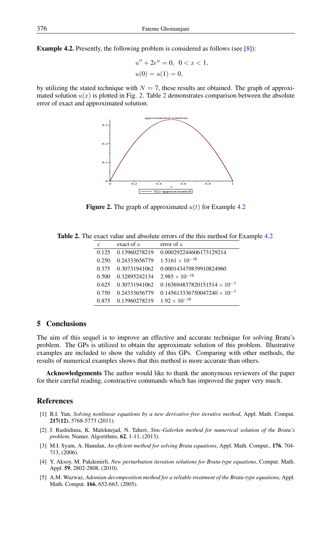<span id="page-4-9"></span>Example 4.2. Presently, the following problem is considered as follows (see [\[8\]](#page-5-2)):

$$
u'' + 2eu = 0, \ 0 < x < 1,
$$
  

$$
u(0) = u(1) = 0,
$$

by utilizing the stated technique with  $N = 7$ , these results are obtained. The graph of approximated solution  $u(x)$  is plotted in Fig. [2.](#page-4-7) Table [2](#page-4-8) demonstrates comparison between the absolute error of exact and approximated solution.



<span id="page-4-7"></span>**Figure 2.** The graph of approximated  $u(t)$  for Example [4.2](#page-4-9)

Table 2. The exact value and absolute errors of the this method for Example [4.2](#page-4-9)

<span id="page-4-8"></span>

| $\boldsymbol{x}$ | exact of $u$  | error of $u$                          |
|------------------|---------------|---------------------------------------|
| 0.125            | 0.13960278219 | 0.000292244606173129214               |
| 0.250            | 0.24333656779 | $1.5161 \times 10^{-18}$              |
| 0.375            | 0.30731941062 | 0.000143479839910824960               |
| 0.500            | 0.32895242134 | $2.985 \times 10^{-18}$               |
| 0.625            | 0.30731941062 | $0.163694837820151514 \times 10^{-3}$ |
| 0.750            | 0.24333656779 | $0.145613336750047240 \times 10^{-3}$ |
| 0.875            | 0.13960278219 | $1.92 \times 10^{-18}$                |

# <span id="page-4-6"></span>5 Conclusions

The aim of this sequel is to improve an effective and accurate technique for solving Bratu's problem. The GPs is utilized to obtain the approximate solution of this problem. Illustrative examples are included to show the validity of this GPs. Comparing with other methods, the results of numerical examples shows that this method is more accurate than others.

Acknowledgements The author would like to thank the anonymous reviewers of the paper for their careful reading, constractive commands which has improved the paper very much.

#### <span id="page-4-0"></span>References

- <span id="page-4-1"></span>[1] B.I. Yun, *Solving nonlinear equations by a new derivative-free iterative method*, Appl. Math. Comput. 217(12), 5768-5773 (2011).
- <span id="page-4-5"></span>[2] J. Rashidinia, K. Maleknejad, N. Taheri, *Sinc-Galerkin method for numerical solution of the Bratu's problem*, Numer. Algorithms, 62, 1-11, (2013).
- <span id="page-4-2"></span>[3] M.I. Syam, A. Hamdan, *An eflcient method for solving Bratu equations*, Appl. Math. Comput., 176, 704- 713, (2006).
- <span id="page-4-3"></span>[4] Y. Aksoy, M. Pakdemirli, *New perturbation iteration solutions for Bratu-type equations*, Comput. Math. Appl. 59, 2802-2808, (2010).
- <span id="page-4-4"></span>[5] A.M. Wazwaz, *Adomian decomposition method for a reliable treatment of the Bratu-type equations*, Appl. Math. Comput. 166, 652-663, (2005).